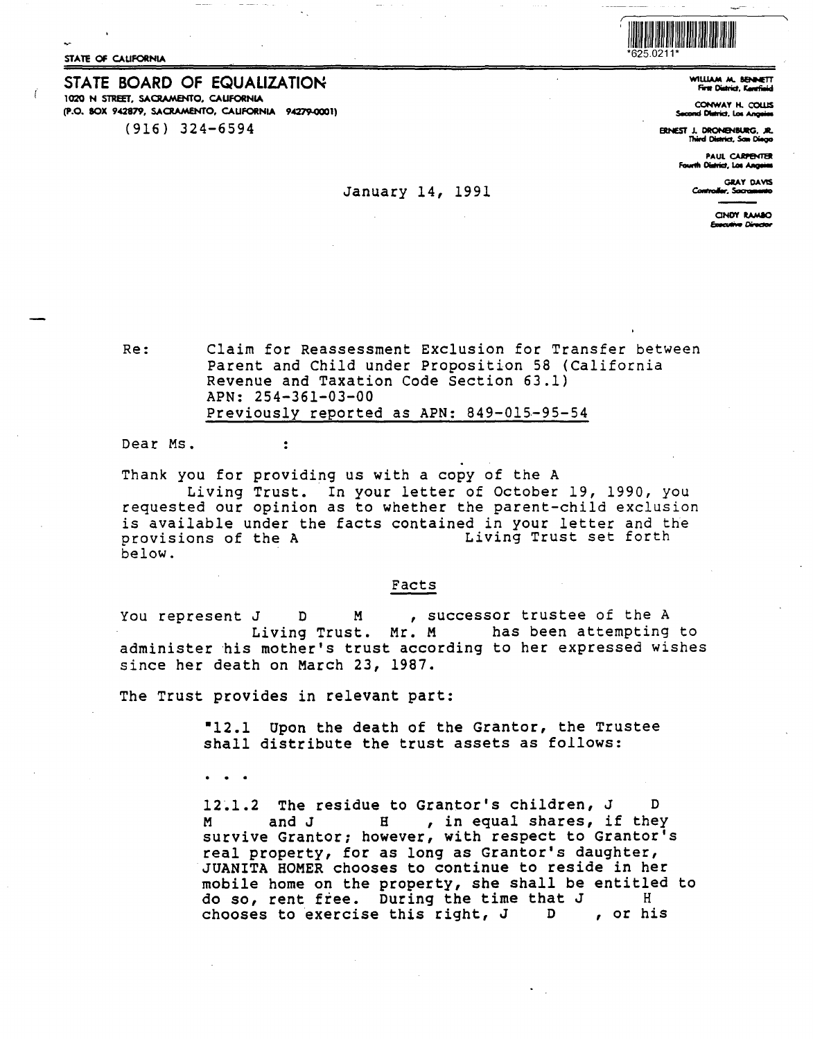STATE OF CALIFORNIA

STATE BOARD OF EQUALIZATION 1020 N STREET, SACRAMENTO, CALIFORNIA (P.O. BOX 942879, SACRAMENTO, CAUFORNIA 94279-0001)  $(916)$  324-6594

## January 14, 1991



WILLIAM M. SENNETT First District, Karefield

CONWAY H. COLLIS **Second District, Los Angeles** 

**FRIVEST J. DRONENBURG. JR.** Third District, San Diego

> PAUL CARPENTER Fourth District, Los Anosias

**GRAY DAVIS** Controller, Sacra

> CINDY RAMBO **Executive Director**

Claim for Reassessment Exclusion for Transfer between Re: Parent and Child under Proposition 58 (California Revenue and Taxation Code Section 63.1) APN: 254-361-03-00 Previously reported as APN: 849-015-95-54

Dear Ms.

Thank you for providing us with a copy of the A

Living Trust. In your letter of October 19, 1990, you<br>requested our opinion as to whether the parent-child exclusion is available under the facts contained in your letter and the provisions of the A Living Trust set forth below.

## Facts

, successor trustee of the A You represent J D M has been attempting to Living Trust. Mr. M administer his mother's trust according to her expressed wishes since her death on March 23, 1987.

The Trust provides in relevant part:

 $\ddot{z}$ 

"12.1 Upon the death of the Grantor, the Trustee shall distribute the trust assets as follows:

 $\bullet$   $\bullet$   $\bullet$ 

12.1.2 The residue to Grantor's children, J D  $H$ , in equal shares, if they M and J survive Grantor; however, with respect to Grantor's real property, for as long as Grantor's daughter, JUANITA HOMER chooses to continue to reside in her mobile home on the property, she shall be entitled to do so, rent free. During the time that J Η , or his chooses to exercise this right, J D.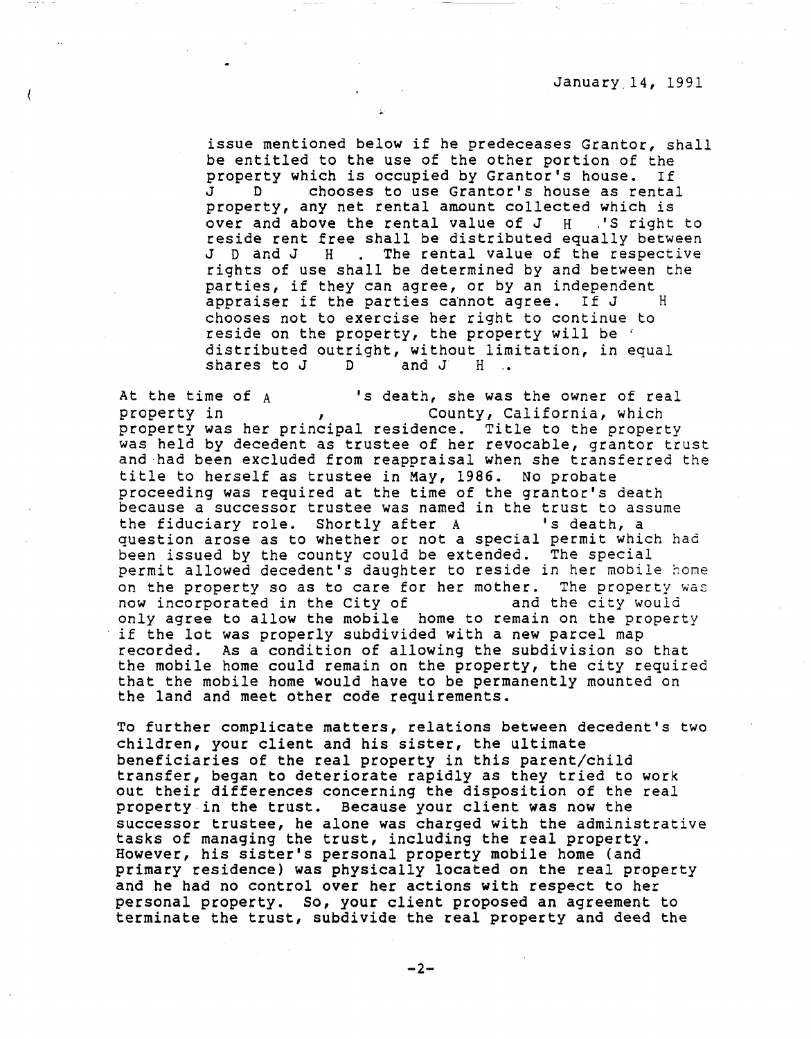issue mentioned below if he predeceases Grantor, shall be entitled to the use of the other portion of the<br>property which is occupied by Grantor's house. If property which is occupied by Grantor's house.<br>J D chooses to use Grantor's house as re chooses to use Grantor's house as rental property, any net rental amount collected which is over and above the rental value of  $J$   $H$   $.S$  right to reside rent free shall be distributed equally between J D and J H . The rental value of the respective rights of use shall be determined by and between the parties, if they can agree, or by an independent<br>appraiser if the parties cannot agree. If J H appraiser if the parties cannot agree. If J chooses not to exercise her right to continue to reside on the property, the property will be ' distributed outright, without limitation, in equal<br>shares to J D and J H .. shares to J

At the time of A 's death, she was the owner of real County, California, which property was her principal residence. Title to the property was held by decedent as trustee of her revocable, grantor trust and had been excluded from reappraisal when she transferred the title to herself as trustee in May, 1986. No probate proceeding was required at the time of the grantor's death because a successor trustee was named in the trust to assume<br>the fiduciary role. Shortly after A states is death, a the fiduciary role. Shortly after A question arose as to whether or not a special permit which had been issued by the county could be extended. The special permit allowed decedent's daughter to reside in her mobile home on the property so as to care for her mother. The property was now incorporated in the City of and the city would now incorporated in the City of only agree to allow the mobile home to remain on the property if the lot was properly subdivided with a new parcel map recorded. As a condition of allowing the subdivision so that the mobile home could remain on the property, the city required that the mobile home would have to be permanently mounted on the land and meet other code requirements.

To further complicate matters, relations between decedent's two children, your client and his sister, the ultimate beneficiaries of the real property in this parent/child transfer, began to deteriorate rapidly as they tried to work out their differences concerning the disposition of the real property in the trust. Because your client was now the successor trustee, he alone was charged with the administrative tasks of managing the trust, including the real property. However, his sister's personal property mobile home (and primary residence) was physically located on the real property and he had no control over her actions with respect to her personal property. so, your client proposed an agreement to terminate the trust, subdivide the real property and deed the

 $-2-$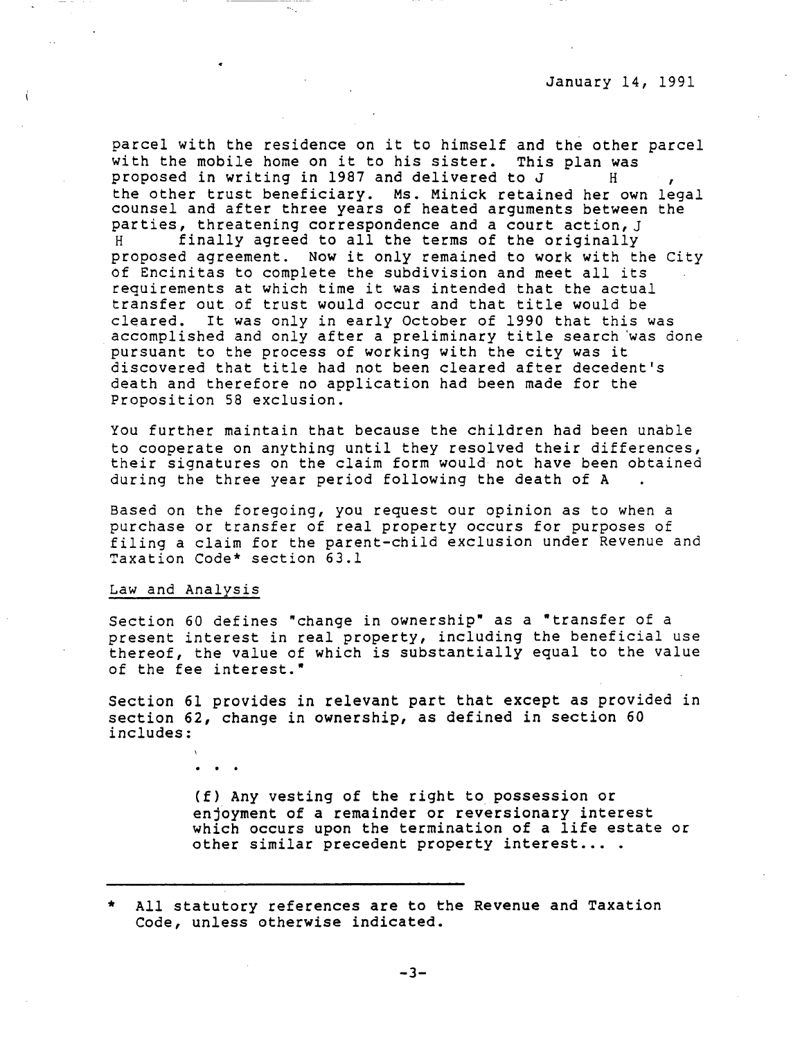parcel with the residence on it to himself and the other parcel with the mobile home on it to his sister. This plan was<br>proposed in writing in 1987 and delivered to J H the other trust beneficiary. Ms. Minick retained her own legal counsel and after three years of heated arguments between the parties, threatening correspondence and a court action, J<br>H inally agreed to all the terms of the originally finally agreed to all the terms of the originally proposed agreement. Now it only remained to work with the City of Encinitas to complete the subdivision and meet all its requirements at which time it was intended that the actual transfer out of trust would occur and that title would be cleared. It was only in early October of 1990 that this was accomplished and only after a preliminary title search 'was done pursuant to the process of working with the city was it discovered that title had not been cleared after decedent's death and therefore no application had been made for the Proposition 58 exclusion.

You further maintain that because the children had been unable to cooperate on anything until they resolved their differences, their signatures on the claim form would not have been obtained during the three year period following the death of A

Based on the foregoing, you request our opinion as to when a purchase or transfer of real property occurs for purposes of filing a claim for the parent-child exclusion under Revenue and Taxation Code\* section 63.1

## Law and Analysis

Section 60 defines "change in ownership" as a "transfer of a present interest in real property, including the beneficial use thereof, the value of which is substantially equal to the value of the fee interest."

Section 61 provides in relevant part that except as provided in section 62, change in ownership, as defined in section 60 includes:

> (f) Any vesting of the right to possession or enjoyment of a remainder or reversionary interest which occurs upon the termination of a life estate or other similar precedent property interest....

All statutory references are to the Revenue and Taxation Code, unless otherwise indicated.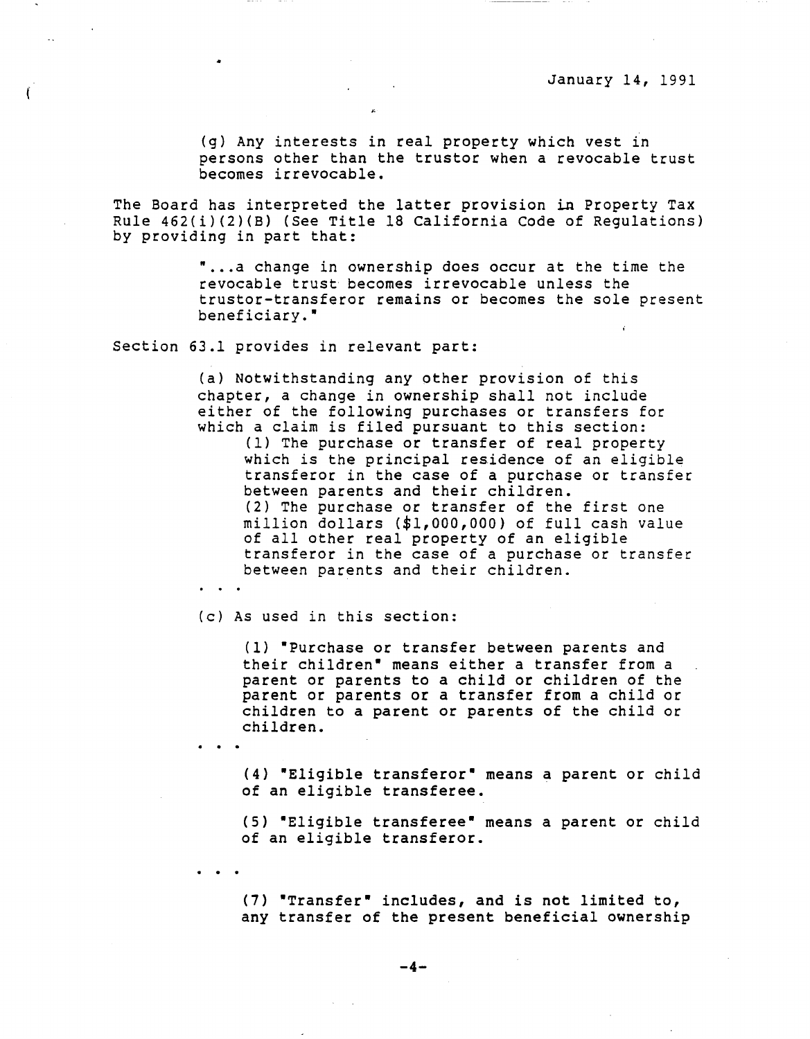(g) Any interests in real property which vest in persons other than the truster when a revocable trust becomes irrevocable.

The Board has interpreted the latter provision in Property Tax Rule 462(i)(2)(B) (See Title 18 California Code of Regulations) by providing in part that:

> • •.. a change in ownership does occur at the time the revocable trust becomes irrevocable unless the truster-transferor remains or becomes the sole present beneficiary.•

Section 63.1 provides in relevant part:

 $\mathfrak{f}$ 

(a) Notwithstanding any other provision of this chapter, a change in ownership shall not include either of the following purchases or transfers for which a claim is filed pursuant to this section: (1) The purchase or transfer of real property which is the principal residence of an eligible transferor in the case of a purchase or transfer between parents and their children. (2) The purchase or transfer of the first one million dollars (\$1,000,000) of full cash value of all other real property of an eligible transferor in the case of a purchase or transfer between parents and their children.

(c) As used in this section:

(1) "Purchase or transfer between parents and their children• means either a transfer from a parent or parents to a child or children of the parent or parents or a transfer from a child or children to a parent or parents of the child or children.

(4) •Eligible transferor• means a parent or child of an eligible transferee.

(5) •Eligible transferee• means a parent or child of an eligible transferor.

(7) •Transfer• includes, and is not limited to, any transfer of the present beneficial ownership

**-4-**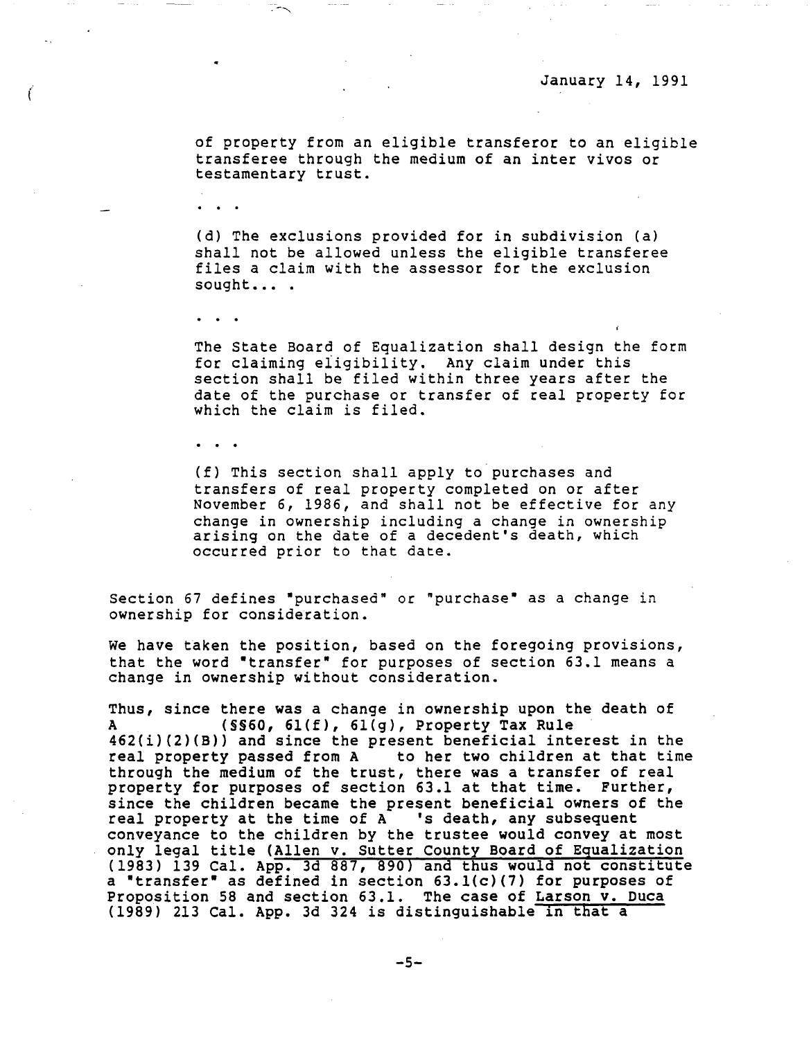of property from an eligible transferor to an eligible transferee through the medium of an inter vivos or testamentary trust.

(

(d) The exclusions provided for in subdivision (a) shall not be allowed unless the eligible transferee files a claim with the assessor for the exclusion sought... .

The State Board of Equalization shall design the form for claiming eligibility. Any claim under this section shall be filed within three years after the date of the purchase or transfer of real property for which the claim is filed.

(f) This section shall apply to purchases and transfers of real property completed on or after November 6, 1986, and shall not be effective for any change in ownership including a change in ownership arising on the date of a decedent's death, which occurred prior to that date.

Section 67 defines "purchased" or "purchase" as a change in ownership for consideration.

We have taken the position, based on the foregoing provisions, that the word "transfer" for purposes of section 63.1 means a change in ownership without consideration.

Thus, since there was a change in ownership upon the death of A (§§60, 6l(f), 6l(g), Property Tax Rule  $462(i)(2)(B)$  and since the present beneficial interest in the real property passed from A to her two children at that time to her two children at that time through the medium of the trust, there was a transfer of real property for purposes of section 63.l at that time. Further, since the children became the present beneficial owners of the real property at the time of  $A$  's death, any subsequent conveyance to the children by the trustee would convey at most only legal title (Allen v. Sutter County Board of Equalization (1983) 139 Cal. App. 3d 887, 890) and thus would not constitute a •transfer• as defined in section 63.l(c)(7) for purposes of Proposition 58 and section 63.1. The case of Larson v. Duca (1989) 213 Cal. App. 3d 324 *is* distinguishable in that a

 $-5-$